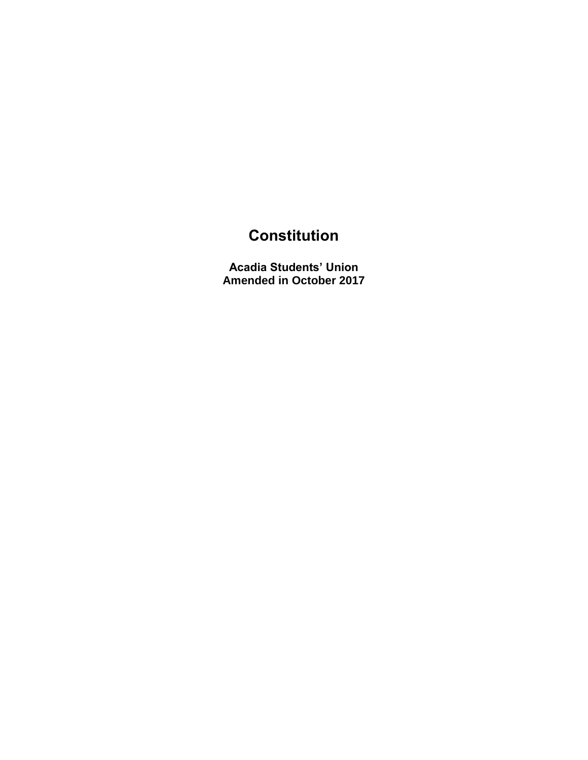## **Constitution**

**Acadia Students' Union Amended in October 2017**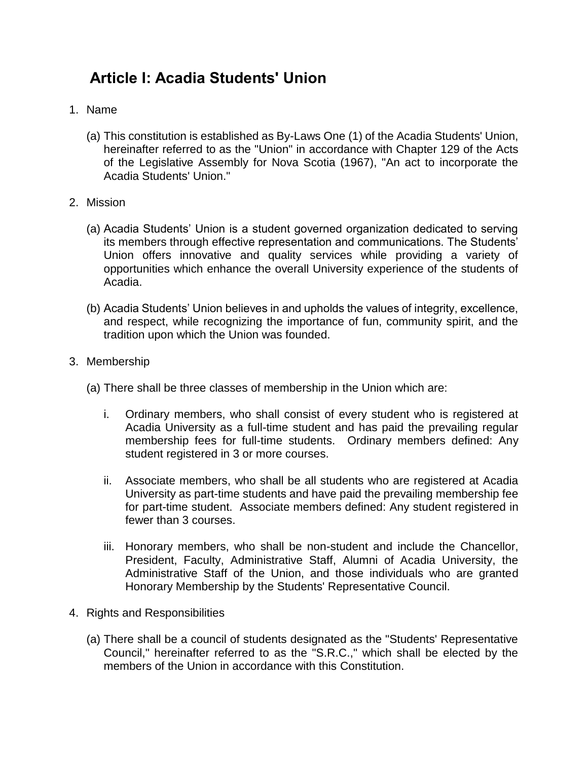## **Article I: Acadia Students' Union**

- 1. Name
	- (a) This constitution is established as By-Laws One (1) of the Acadia Students' Union, hereinafter referred to as the "Union" in accordance with Chapter 129 of the Acts of the Legislative Assembly for Nova Scotia (1967), "An act to incorporate the Acadia Students' Union."
- 2. Mission
	- (a) Acadia Students' Union is a student governed organization dedicated to serving its members through effective representation and communications. The Students' Union offers innovative and quality services while providing a variety of opportunities which enhance the overall University experience of the students of Acadia.
	- (b) Acadia Students' Union believes in and upholds the values of integrity, excellence, and respect, while recognizing the importance of fun, community spirit, and the tradition upon which the Union was founded.
- 3. Membership
	- (a) There shall be three classes of membership in the Union which are:
		- i. Ordinary members, who shall consist of every student who is registered at Acadia University as a full-time student and has paid the prevailing regular membership fees for full-time students. Ordinary members defined: Any student registered in 3 or more courses.
		- ii. Associate members, who shall be all students who are registered at Acadia University as part-time students and have paid the prevailing membership fee for part-time student. Associate members defined: Any student registered in fewer than 3 courses.
		- iii. Honorary members, who shall be non-student and include the Chancellor, President, Faculty, Administrative Staff, Alumni of Acadia University, the Administrative Staff of the Union, and those individuals who are granted Honorary Membership by the Students' Representative Council.
- 4. Rights and Responsibilities
	- (a) There shall be a council of students designated as the "Students' Representative Council," hereinafter referred to as the "S.R.C.," which shall be elected by the members of the Union in accordance with this Constitution.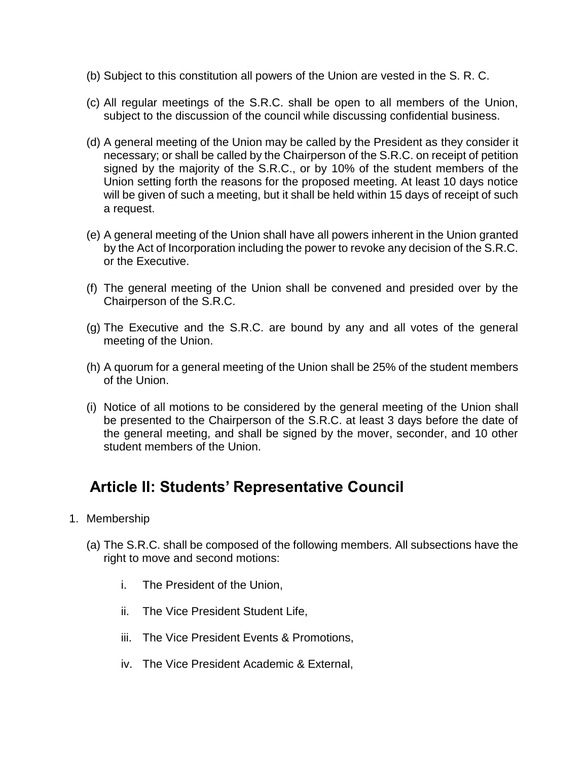- (b) Subject to this constitution all powers of the Union are vested in the S. R. C.
- (c) All regular meetings of the S.R.C. shall be open to all members of the Union, subject to the discussion of the council while discussing confidential business.
- (d) A general meeting of the Union may be called by the President as they consider it necessary; or shall be called by the Chairperson of the S.R.C. on receipt of petition signed by the majority of the S.R.C., or by 10% of the student members of the Union setting forth the reasons for the proposed meeting. At least 10 days notice will be given of such a meeting, but it shall be held within 15 days of receipt of such a request.
- (e) A general meeting of the Union shall have all powers inherent in the Union granted by the Act of Incorporation including the power to revoke any decision of the S.R.C. or the Executive.
- (f) The general meeting of the Union shall be convened and presided over by the Chairperson of the S.R.C.
- (g) The Executive and the S.R.C. are bound by any and all votes of the general meeting of the Union.
- (h) A quorum for a general meeting of the Union shall be 25% of the student members of the Union.
- (i) Notice of all motions to be considered by the general meeting of the Union shall be presented to the Chairperson of the S.R.C. at least 3 days before the date of the general meeting, and shall be signed by the mover, seconder, and 10 other student members of the Union.

## **Article II: Students' Representative Council**

- 1. Membership
	- (a) The S.R.C. shall be composed of the following members. All subsections have the right to move and second motions:
		- i. The President of the Union,
		- ii. The Vice President Student Life,
		- iii. The Vice President Events & Promotions,
		- iv. The Vice President Academic & External,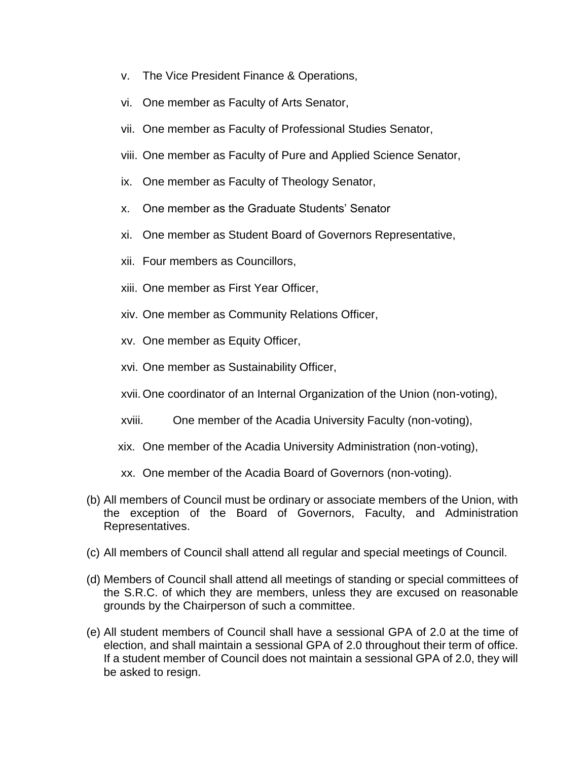- v. The Vice President Finance & Operations,
- vi. One member as Faculty of Arts Senator,
- vii. One member as Faculty of Professional Studies Senator,
- viii. One member as Faculty of Pure and Applied Science Senator,
- ix. One member as Faculty of Theology Senator,
- x. One member as the Graduate Students' Senator
- xi. One member as Student Board of Governors Representative,
- xii. Four members as Councillors,
- xiii. One member as First Year Officer,
- xiv. One member as Community Relations Officer,
- xv. One member as Equity Officer,
- xvi. One member as Sustainability Officer,
- xvii. One coordinator of an Internal Organization of the Union (non-voting),
- xviii. One member of the Acadia University Faculty (non-voting),
- xix. One member of the Acadia University Administration (non-voting),
- xx. One member of the Acadia Board of Governors (non-voting).
- (b) All members of Council must be ordinary or associate members of the Union, with the exception of the Board of Governors, Faculty, and Administration Representatives.
- (c) All members of Council shall attend all regular and special meetings of Council.
- (d) Members of Council shall attend all meetings of standing or special committees of the S.R.C. of which they are members, unless they are excused on reasonable grounds by the Chairperson of such a committee.
- (e) All student members of Council shall have a sessional GPA of 2.0 at the time of election, and shall maintain a sessional GPA of 2.0 throughout their term of office. If a student member of Council does not maintain a sessional GPA of 2.0, they will be asked to resign.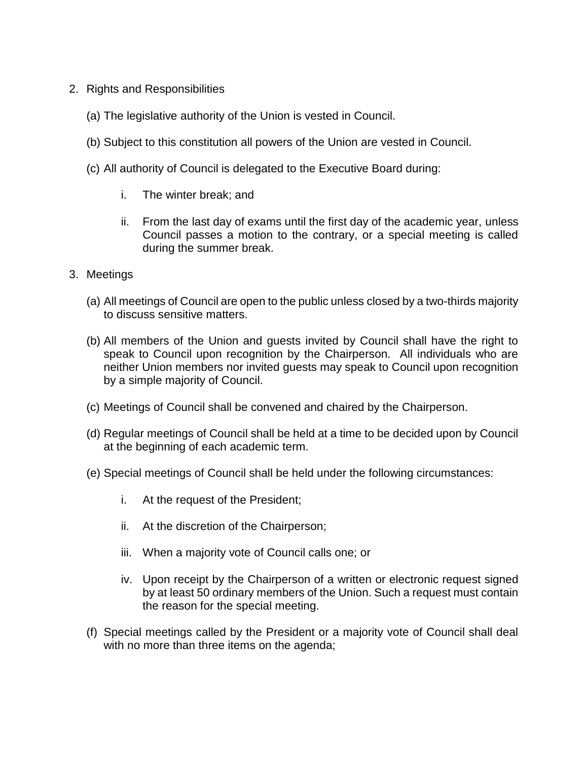- 2. Rights and Responsibilities
	- (a) The legislative authority of the Union is vested in Council.
	- (b) Subject to this constitution all powers of the Union are vested in Council.
	- (c) All authority of Council is delegated to the Executive Board during:
		- i. The winter break; and
		- ii. From the last day of exams until the first day of the academic year, unless Council passes a motion to the contrary, or a special meeting is called during the summer break.
- 3. Meetings
	- (a) All meetings of Council are open to the public unless closed by a two-thirds majority to discuss sensitive matters.
	- (b) All members of the Union and guests invited by Council shall have the right to speak to Council upon recognition by the Chairperson. All individuals who are neither Union members nor invited guests may speak to Council upon recognition by a simple majority of Council.
	- (c) Meetings of Council shall be convened and chaired by the Chairperson.
	- (d) Regular meetings of Council shall be held at a time to be decided upon by Council at the beginning of each academic term.
	- (e) Special meetings of Council shall be held under the following circumstances:
		- i. At the request of the President;
		- ii. At the discretion of the Chairperson;
		- iii. When a majority vote of Council calls one; or
		- iv. Upon receipt by the Chairperson of a written or electronic request signed by at least 50 ordinary members of the Union. Such a request must contain the reason for the special meeting.
	- (f) Special meetings called by the President or a majority vote of Council shall deal with no more than three items on the agenda;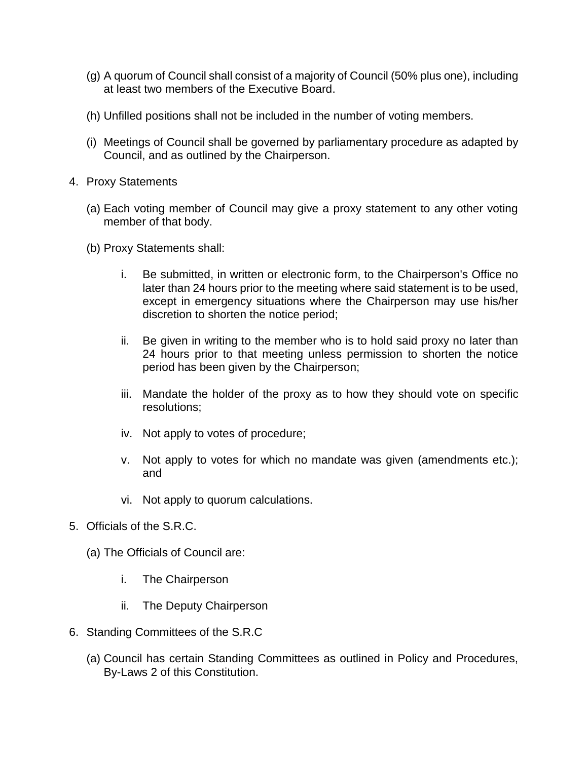- (g) A quorum of Council shall consist of a majority of Council (50% plus one), including at least two members of the Executive Board.
- (h) Unfilled positions shall not be included in the number of voting members.
- (i) Meetings of Council shall be governed by parliamentary procedure as adapted by Council, and as outlined by the Chairperson.
- 4. Proxy Statements
	- (a) Each voting member of Council may give a proxy statement to any other voting member of that body.
	- (b) Proxy Statements shall:
		- i. Be submitted, in written or electronic form, to the Chairperson's Office no later than 24 hours prior to the meeting where said statement is to be used, except in emergency situations where the Chairperson may use his/her discretion to shorten the notice period;
		- ii. Be given in writing to the member who is to hold said proxy no later than 24 hours prior to that meeting unless permission to shorten the notice period has been given by the Chairperson;
		- iii. Mandate the holder of the proxy as to how they should vote on specific resolutions;
		- iv. Not apply to votes of procedure;
		- v. Not apply to votes for which no mandate was given (amendments etc.); and
		- vi. Not apply to quorum calculations.
- 5. Officials of the S.R.C.
	- (a) The Officials of Council are:
		- i. The Chairperson
		- ii. The Deputy Chairperson
- 6. Standing Committees of the S.R.C
	- (a) Council has certain Standing Committees as outlined in Policy and Procedures, By-Laws 2 of this Constitution.